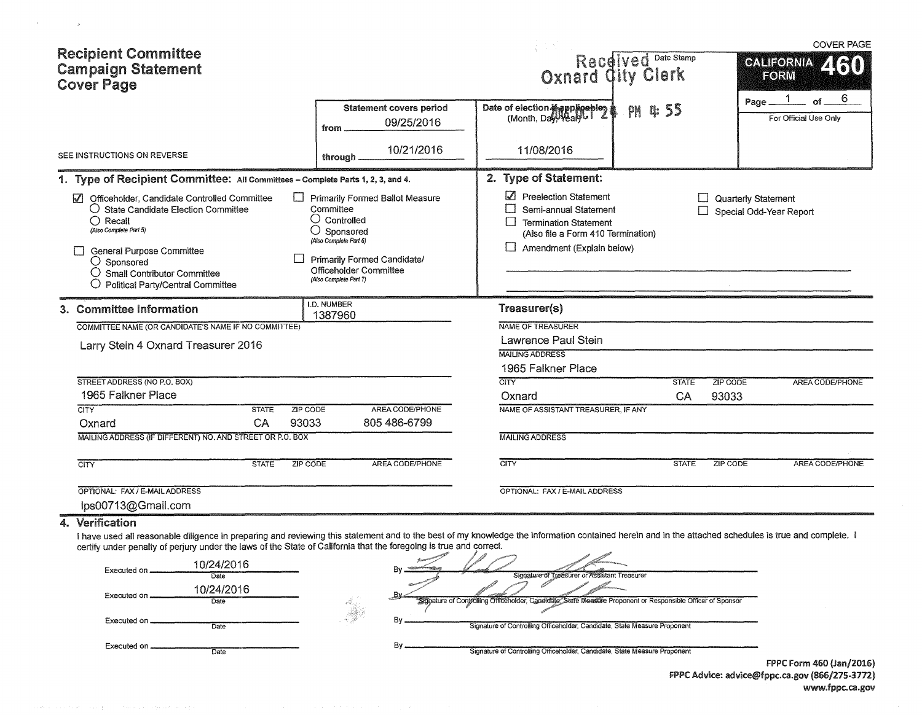|                                                                                                                                                                                                                                                                                                                                           |                                                                                                                                                                                                      |                                                                                                                                                                  |                                          | <b>COVER PAGE</b>                              |
|-------------------------------------------------------------------------------------------------------------------------------------------------------------------------------------------------------------------------------------------------------------------------------------------------------------------------------------------|------------------------------------------------------------------------------------------------------------------------------------------------------------------------------------------------------|------------------------------------------------------------------------------------------------------------------------------------------------------------------|------------------------------------------|------------------------------------------------|
| <b>Recipient Committee</b><br><b>Campaign Statement</b><br><b>Cover Page</b>                                                                                                                                                                                                                                                              |                                                                                                                                                                                                      |                                                                                                                                                                  | Received Date Stamp<br>Oxnard Gity Clerk | <b>GALIFORNIA</b><br>ZRJI<br>FORM              |
|                                                                                                                                                                                                                                                                                                                                           | <b>Statement covers period</b><br>09/25/2016<br>from                                                                                                                                                 | Date of election if applicables                                                                                                                                  | PM 455                                   | 6<br>of.<br>Page.<br>For Official Use Only     |
| SEE INSTRUCTIONS ON REVERSE                                                                                                                                                                                                                                                                                                               | 10/21/2016<br>through.                                                                                                                                                                               | 11/08/2016                                                                                                                                                       |                                          |                                                |
| 1. Type of Recipient Committee: All Committees - Complete Parts 1, 2, 3, and 4.                                                                                                                                                                                                                                                           |                                                                                                                                                                                                      | 2. Type of Statement:                                                                                                                                            |                                          |                                                |
| Officeholder. Candidate Controlled Committee<br>M<br>$\bigcirc$ State Candidate Election Committee<br>$\bigcap$ Recall<br>(Aiso Complete Part 5)<br><b>General Purpose Committee</b><br>$\bigcirc$ Sponsored<br>○ Small Contributor Committee<br>Political Party/Central Committee                                                        | Primarily Formed Ballot Measure<br>Committee<br>$\bigcirc$ Controlled<br>O<br>Sponsored<br>(Also Complete Part 6)<br>Primarily Formed Candidate/<br>Officeholder Committee<br>(Also Complete Part 7) | Preelection Statement<br>Semi-annual Statement<br>$\Box$<br><b>Termination Statement</b><br>(Also file a Form 410 Termination)<br>⊔<br>Amendment (Explain below) |                                          | Quarterly Statement<br>Special Odd-Year Report |
| 3. Committee Information                                                                                                                                                                                                                                                                                                                  | <b>I.D. NUMBER</b><br>1387960                                                                                                                                                                        | Treasurer(s)                                                                                                                                                     |                                          |                                                |
| COMMITTEE NAME (OR CANDIDATE'S NAME IF NO COMMITTEE)                                                                                                                                                                                                                                                                                      |                                                                                                                                                                                                      | NAME OF TREASURER                                                                                                                                                |                                          |                                                |
| Larry Stein 4 Oxnard Treasurer 2016                                                                                                                                                                                                                                                                                                       |                                                                                                                                                                                                      | <b>Lawrence Paul Stein</b>                                                                                                                                       |                                          |                                                |
|                                                                                                                                                                                                                                                                                                                                           |                                                                                                                                                                                                      | <b>MAILING ADDRESS</b><br>1965 Falkner Place                                                                                                                     |                                          |                                                |
| STREET ADDRESS (NO P.O. BOX)                                                                                                                                                                                                                                                                                                              |                                                                                                                                                                                                      | CITY                                                                                                                                                             | <b>STATE</b>                             | <b>ZIP CODE</b><br><b>AREA CODE/PHONE</b>      |
| 1965 Falkner Place                                                                                                                                                                                                                                                                                                                        |                                                                                                                                                                                                      | Oxnard                                                                                                                                                           | CA                                       | 93033                                          |
| ZIP CODE<br><b>CITY</b><br><b>STATE</b><br>93033<br>CA<br>Oxnard                                                                                                                                                                                                                                                                          | AREA CODE/PHONE<br>805 486-6799                                                                                                                                                                      | NAME OF ASSISTANT TREASURER, IF ANY                                                                                                                              |                                          |                                                |
| MAILING ADDRESS (IF DIFFERENT) NO. AND STREET OR P.O. BOX                                                                                                                                                                                                                                                                                 |                                                                                                                                                                                                      | <b>MAILING ADDRESS</b>                                                                                                                                           |                                          |                                                |
| <b>CITY</b><br><b>STATE</b><br>ZIP CODE                                                                                                                                                                                                                                                                                                   | AREA CODE/PHONE                                                                                                                                                                                      | <b>CITY</b>                                                                                                                                                      | <b>STATE</b>                             | <b>ZIP CODE</b><br><b>AREA CODE/PHONE</b>      |
| OPTIONAL: FAX / E-MAIL ADDRESS<br>lps00713@Gmail.com                                                                                                                                                                                                                                                                                      |                                                                                                                                                                                                      | OPTIONAL: FAX / E-MAIL ADDRESS                                                                                                                                   |                                          |                                                |
| 4. Verification                                                                                                                                                                                                                                                                                                                           |                                                                                                                                                                                                      |                                                                                                                                                                  |                                          |                                                |
| I have used all reasonable diligence in preparing and reviewing this statement and to the best of my knowledge the information contained herein and in the attached schedules is true and complete. I<br>certify under penalty of perjury under the laws of the State of California that the foregoing is true and correct.<br>10/24/2016 |                                                                                                                                                                                                      |                                                                                                                                                                  |                                          |                                                |

 $\mathcal{F}^{\mathcal{F}}$  and  $\mathcal{F}^{\mathcal{F}}$  . In particular,

| Executed on  | 10/24/2016         | B٧.                                                                                                                 |
|--------------|--------------------|---------------------------------------------------------------------------------------------------------------------|
|              | Date               | Signature of Treasurer or Assistant Treasurer                                                                       |
| Executed on  | 10/24/2016<br>Date | Bv.<br>"Sidnature of Controlling Officeholder, Candidate, State Measure Proponent or Responsible Officer of Sponsor |
| Executed on  |                    |                                                                                                                     |
|              | Date               | Signature of Controlling Officeholder, Candidate, State Measure Proponent                                           |
| Executed on. | Date               | Signature of Controlling Officeholder, Candidate, State Measure Proponent                                           |

FPPC Form 460 {Jan/2016) FPPC Advice: advice@fppc.ca.gov (866/275-3772) www.fppc.ca.gov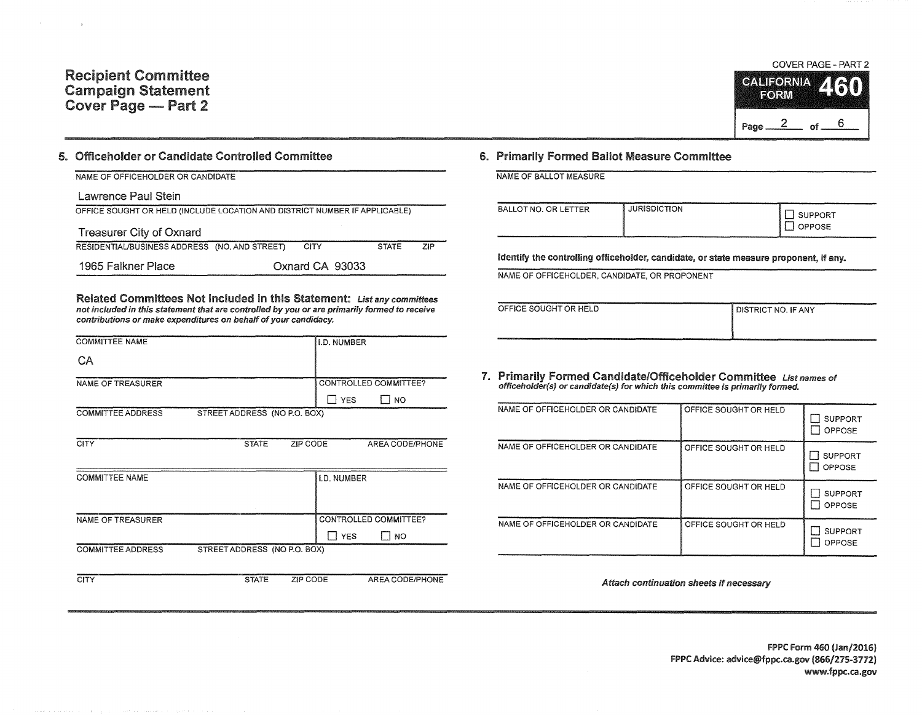## Recipient Committee Campaign Statement Cover Page - Part 2

## 5. Officeholder or Candidate Controlled Committee

| NAME OF OFFICEHOLDER OR CANDIDATE                                          |                 |              |     |
|----------------------------------------------------------------------------|-----------------|--------------|-----|
| Lawrence Paul Stein                                                        |                 |              |     |
| OFFICE SOUGHT OR HELD (INCLUDE LOCATION AND DISTRICT NUMBER IF APPLICABLE) |                 |              |     |
| <b>Treasurer City of Oxnard</b>                                            |                 |              |     |
| RESIDENTIAL/BUSINESS ADDRESS (NO. AND STREET)                              | <b>CITY</b>     | <b>STATE</b> | ZIP |
| 1965 Falkner Place                                                         | Oxnard CA 93033 |              |     |

Related Committees Not Included in this Statement: List any committees not included in this statement that are controlled by you or are primarily formed to receive contributions or make expenditures on behalf of your candidacy.

| <b>COMMITTEE NAME</b>    |                              |                 | I.D. NUMBER        |                       |
|--------------------------|------------------------------|-----------------|--------------------|-----------------------|
| CA                       |                              |                 |                    |                       |
| <b>NAME OF TREASURER</b> |                              |                 |                    | CONTROLLED COMMITTEE? |
|                          |                              |                 | ∏ YES              | $\sqcap$ NO           |
| <b>COMMITTEE ADDRESS</b> | STREET ADDRESS (NO P.O. BOX) |                 |                    |                       |
|                          |                              |                 |                    |                       |
| <b>CITY</b>              | <b>STATE</b>                 | ZIP CODE        |                    | AREA CODE/PHONE       |
|                          |                              |                 |                    |                       |
| <b>COMMITTEE NAME</b>    |                              |                 | <b>I.D. NUMBER</b> |                       |
|                          |                              |                 |                    |                       |
|                          |                              |                 |                    |                       |
| NAME OF TREASURER        |                              |                 |                    | CONTROLLED COMMITTEE? |
|                          |                              |                 | $\Box$ YES         | NO.<br>$\mathbf{1}$   |
| <b>COMMITTEE ADDRESS</b> | STREET ADDRESS (NO P.O. BOX) |                 |                    |                       |
|                          |                              |                 |                    |                       |
| <b>CITY</b>              | <b>STATE</b>                 | <b>ZIP CODE</b> |                    | AREA CODE/PHONE       |

## COVER PAGE - PART 2 **CALIFORNIA** FORW Page  $2$  of  $6$

## 6. Primarily Formed Ballot Measure Committee

NAME OF BALLOT MEASURE

| BALLOT NO. OR LETTER | <b>JURISDICTION</b> | <b>SUPPORT</b><br>OPPOSE |
|----------------------|---------------------|--------------------------|
|----------------------|---------------------|--------------------------|

Identify the controlling officeholder, candidate, or state measure proponent, if any.

NAME OF OFFICEHOLDER, CANDIDATE, OR PROPONENT

| OFFICE SOUGHT OR HELD | <b>DISTRICT NO. IF ANY</b> |
|-----------------------|----------------------------|
|                       |                            |
|                       |                            |

7. Primarily Formed Candidate/Officeholder Committee List names of officeholder(s) or candidate(s) for which this committee is primarily formed.

| NAME OF OFFICEHOLDER OR CANDIDATE | OFFICE SOUGHT OR HELD | <b>SUPPORT</b><br><b>OPPOSE</b> |
|-----------------------------------|-----------------------|---------------------------------|
| NAME OF OFFICEHOLDER OR CANDIDATE | OFFICE SOUGHT OR HELD | <b>SUPPORT</b><br>OPPOSE        |
| NAME OF OFFICEHOLDER OR CANDIDATE | OFFICE SOUGHT OR HELD | <b>SUPPORT</b><br><b>OPPOSE</b> |
| NAME OF OFFICEHOLDER OR CANDIDATE | OFFICE SOUGHT OR HELD | <b>SUPPORT</b><br>OPPOSE        |

Attach continuation sheets if necessary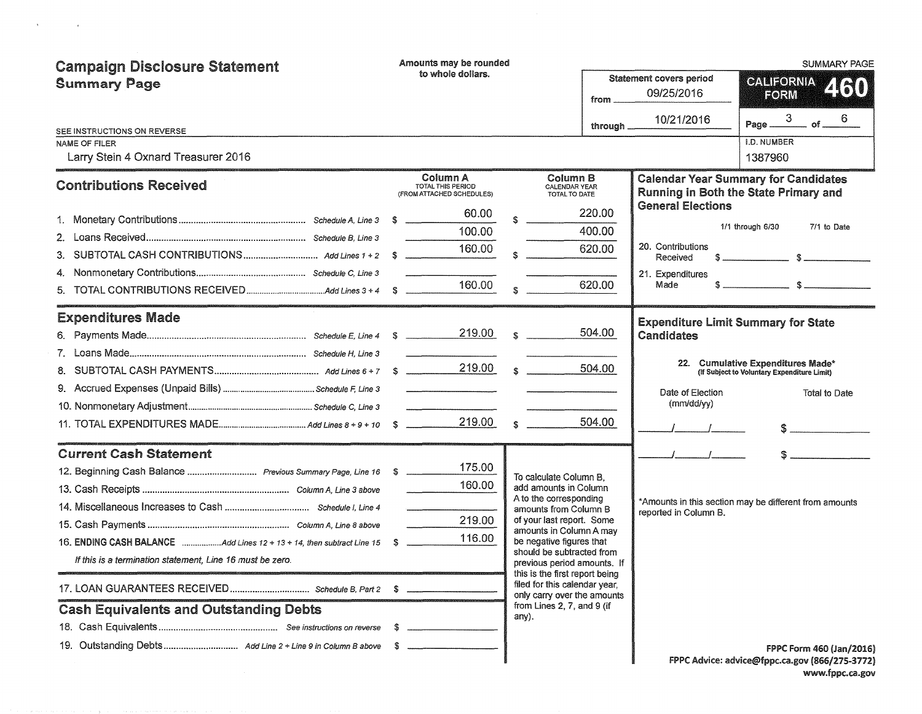| <b>Campaign Disclosure Statement</b>                                     | Amounts may be rounded |                                                                   |  |                                                                                                |                                              |                                            | <b>SUMMARY PAGE</b>                                                                  |
|--------------------------------------------------------------------------|------------------------|-------------------------------------------------------------------|--|------------------------------------------------------------------------------------------------|----------------------------------------------|--------------------------------------------|--------------------------------------------------------------------------------------|
| <b>Summary Page</b>                                                      | to whole dollars.      |                                                                   |  | from                                                                                           | <b>Statement covers period</b><br>09/25/2016 | CALIFORNIA.<br>2130<br>FORM                |                                                                                      |
| SEE INSTRUCTIONS ON REVERSE                                              |                        |                                                                   |  |                                                                                                | through _                                    | 10/21/2016                                 | Page $\frac{3}{2}$<br>6<br>$=$ of $=$                                                |
| NAME OF FILER                                                            |                        |                                                                   |  |                                                                                                |                                              |                                            | I.D. NUMBER                                                                          |
| Larry Stein 4 Oxnard Treasurer 2016                                      |                        |                                                                   |  |                                                                                                |                                              |                                            | 1387960                                                                              |
| <b>Contributions Received</b>                                            |                        | Column A<br><b>TOTAL THIS PERIOD</b><br>(FROM ATTACHED SCHEDULES) |  | Column B<br>CALENDAR YEAR<br>TOTAL TO DATE                                                     |                                              |                                            | <b>Calendar Year Summary for Candidates</b><br>Running in Both the State Primary and |
|                                                                          |                        | 60.00                                                             |  |                                                                                                | 220.00                                       | <b>General Elections</b>                   |                                                                                      |
|                                                                          |                        | 100.00                                                            |  |                                                                                                | 400.00                                       |                                            | 1/1 through 6/30<br>7/1 to Date                                                      |
| 3.                                                                       |                        | 160.00                                                            |  |                                                                                                | 620.00                                       | 20. Contributions<br>Received              |                                                                                      |
|                                                                          |                        |                                                                   |  |                                                                                                |                                              | 21. Expenditures                           |                                                                                      |
|                                                                          |                        | 160.00                                                            |  |                                                                                                | 620.00                                       | Made                                       |                                                                                      |
| <b>Expenditures Made</b>                                                 |                        |                                                                   |  |                                                                                                |                                              | <b>Expenditure Limit Summary for State</b> |                                                                                      |
|                                                                          |                        | 219.00                                                            |  | $\mathbb{S}$                                                                                   | 504.00                                       | <b>Candidates</b>                          |                                                                                      |
| 7 <sup>7</sup>                                                           |                        |                                                                   |  |                                                                                                |                                              |                                            |                                                                                      |
| 8.                                                                       |                        | 219.00                                                            |  | $\mathbb{S}$                                                                                   | 504.00                                       |                                            | 22. Cumulative Expenditures Made*<br>(If Subject to Voluntary Expenditure Limit)     |
|                                                                          |                        |                                                                   |  |                                                                                                |                                              | Date of Election                           | Total to Date                                                                        |
|                                                                          |                        |                                                                   |  |                                                                                                |                                              | (mm/dd/vv)                                 |                                                                                      |
|                                                                          |                        | 219.00                                                            |  | $\mathbb{R}$                                                                                   | 504.00                                       |                                            | $\mathsf{S} \hspace{0.03in} \underbrace{\hspace{0.03in}}$                            |
| <b>Current Cash Statement</b>                                            |                        |                                                                   |  |                                                                                                |                                              |                                            | $s$ and $s$                                                                          |
|                                                                          |                        | 175.00                                                            |  | To calculate Column B,                                                                         |                                              |                                            |                                                                                      |
|                                                                          |                        | 160.00                                                            |  | add amounts in Column                                                                          |                                              |                                            |                                                                                      |
|                                                                          |                        |                                                                   |  | A to the corresponding<br>amounts from Column B                                                |                                              | reported in Column B.                      | *Amounts in this section may be different from amounts                               |
|                                                                          |                        | 219.00                                                            |  | of your last report. Some<br>amounts in Column A may                                           |                                              |                                            |                                                                                      |
| 16. ENDING CASH BALANCE Add Lines 12 + 13 + 14, then subtract Line 15 \$ |                        | 116.00                                                            |  | be negative figures that                                                                       |                                              |                                            |                                                                                      |
| If this is a termination statement, Line 16 must be zero.                |                        |                                                                   |  | should be subtracted from<br>previous period amounts. If                                       |                                              |                                            |                                                                                      |
|                                                                          |                        |                                                                   |  | this is the first report being<br>filed for this calendar year.<br>only carry over the amounts |                                              |                                            |                                                                                      |
| <b>Cash Equivalents and Outstanding Debts</b>                            |                        |                                                                   |  | from Lines 2, 7, and 9 (if                                                                     |                                              |                                            |                                                                                      |
|                                                                          |                        |                                                                   |  | any).                                                                                          |                                              |                                            |                                                                                      |
|                                                                          |                        |                                                                   |  |                                                                                                |                                              |                                            | FPPC Form 460 (Jan/2016)<br>FPPC Advice: advice@fppc.ca.gov (866/275-3772)           |

 $\label{eq:3.1} \Psi_{\alpha\beta} = \Psi_{\alpha\beta} + \Psi_{\alpha\beta} + \Psi_{\beta\beta} + \Psi_{\beta\beta} + \Psi_{\beta\beta} + \Psi_{\beta\beta} + \Psi_{\beta\beta} + \Psi_{\beta\beta} + \Psi_{\beta\beta} + \Psi_{\beta\beta} + \Psi_{\beta\beta} + \Psi_{\beta\beta} + \Psi_{\beta\beta} + \Psi_{\beta\beta} + \Psi_{\beta\beta} + \Psi_{\beta\beta} + \Psi_{\beta\beta} + \Psi_{\beta\beta} + \Psi_{\beta\beta} + \Psi_{\beta\beta} + \Psi_{\beta\beta} + \Psi_{\beta\beta} + \Psi_{\$ 

| dvice: advice@fppc.ca.gov (866/275-3772) |  |
|------------------------------------------|--|
| www.fppc.ca.gov                          |  |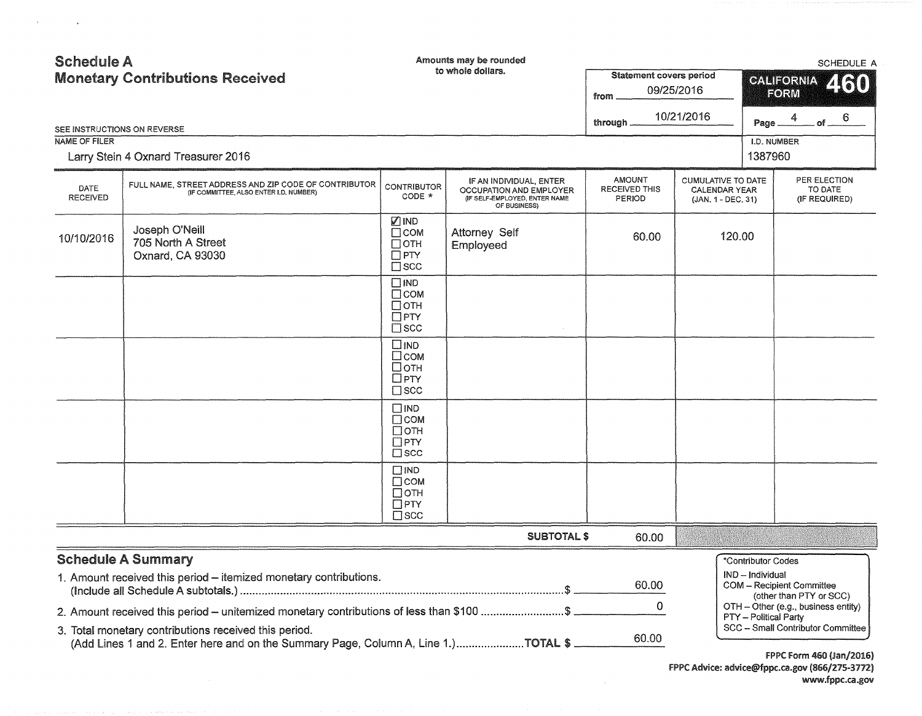| <b>Schedule A</b><br><b>Monetary Contributions Received</b> |                                                                                                                                             |                                                                          | Amounts may be rounded<br>to whole dollars.                                                         | <b>Statement covers period</b><br>from          | 09/25/2016                                                              | <b>SCHEDULE A</b><br><b>CALIFORNIA</b><br>2130<br>FORM                                                                       |  |  |
|-------------------------------------------------------------|---------------------------------------------------------------------------------------------------------------------------------------------|--------------------------------------------------------------------------|-----------------------------------------------------------------------------------------------------|-------------------------------------------------|-------------------------------------------------------------------------|------------------------------------------------------------------------------------------------------------------------------|--|--|
| SEE INSTRUCTIONS ON REVERSE                                 |                                                                                                                                             |                                                                          |                                                                                                     | through.                                        | 10/21/2016                                                              | 6.<br>4<br>of<br>Page                                                                                                        |  |  |
| <b>NAME OF FILER</b>                                        |                                                                                                                                             |                                                                          |                                                                                                     |                                                 |                                                                         | I.D. NUMBER<br>1387960                                                                                                       |  |  |
|                                                             | Larry Stein 4 Oxnard Treasurer 2016                                                                                                         |                                                                          |                                                                                                     |                                                 |                                                                         |                                                                                                                              |  |  |
| DATE<br><b>RECEIVED</b>                                     | FULL NAME, STREET ADDRESS AND ZIP CODE OF CONTRIBUTOR<br>(IF COMMITTEE, ALSO ENTER I.D. NUMBER)                                             | <b>CONTRIBUTOR</b><br>$CODE *$                                           | IF AN INDIVIDUAL, ENTER<br>OCCUPATION AND EMPLOYER<br>(IF SELF-EMPLOYED, ENTER NAME<br>OF BUSINESS) | <b>AMOUNT</b><br><b>RECEIVED THIS</b><br>PERIOD | <b>CUMULATIVE TO DATE</b><br><b>CALENDAR YEAR</b><br>(JAN. 1 - DEC. 31) | PER ELECTION<br>TO DATE<br>(IF REQUIRED)                                                                                     |  |  |
| 10/10/2016                                                  | Joseph O'Neill<br>705 North A Street<br>Oxnard, CA 93030                                                                                    | Ø IND<br>$\Box$ COM<br>$\Box$ OTH<br>$\square$ PTY<br>$\square$ SCC      | Attorney Self<br>Employeed                                                                          | 60.00                                           | 120.00                                                                  |                                                                                                                              |  |  |
|                                                             |                                                                                                                                             | $\square$ IND<br>$\Box$ COM<br>$\Box$ OTH<br>$\Box$ PTY<br>$\Box$ SCC    |                                                                                                     |                                                 |                                                                         |                                                                                                                              |  |  |
|                                                             |                                                                                                                                             | $\square$ IND<br>$\Box$ COM<br>□отн<br>$\Box$ PTY<br>$\square$ scc       |                                                                                                     |                                                 |                                                                         |                                                                                                                              |  |  |
|                                                             |                                                                                                                                             | $\square$ IND<br>$\Box$ COM<br>$\Box$ OTH<br>$\Box$ PTY<br>$\square$ scc |                                                                                                     |                                                 |                                                                         |                                                                                                                              |  |  |
|                                                             |                                                                                                                                             | $\square$ IND<br>Псом<br>$\Box$ OTH<br>$\square$ PTY<br>$\Box$ scc       |                                                                                                     |                                                 |                                                                         |                                                                                                                              |  |  |
|                                                             |                                                                                                                                             |                                                                          | <b>SUBTOTAL \$</b>                                                                                  | 60.00                                           |                                                                         |                                                                                                                              |  |  |
|                                                             | <b>Schedule A Summary</b>                                                                                                                   |                                                                          |                                                                                                     |                                                 |                                                                         | *Contributor Codes                                                                                                           |  |  |
|                                                             | 1. Amount received this period - itemized monetary contributions.                                                                           |                                                                          |                                                                                                     | 60.00                                           |                                                                         | IND - Individual<br><b>COM</b> - Recipient Committee<br>(other than PTY or SCC)                                              |  |  |
|                                                             | 2. Amount received this period - unitemized monetary contributions of less than \$100 \$                                                    |                                                                          |                                                                                                     | $\Omega$                                        |                                                                         | OTH - Other (e.g., business entity)<br><b>PTY</b> - Political Party                                                          |  |  |
|                                                             | 3. Total monetary contributions received this period.<br>(Add Lines 1 and 2. Enter here and on the Summary Page, Column A, Line 1.)TOTAL \$ |                                                                          |                                                                                                     | 60.00                                           |                                                                         | <b>SCC - Small Contributor Committee</b><br>$FDDC$ $F_{A}$ <sub><math>A</math></sub> $F_{C}$ $A$ $A$ $A$ $A$ $A$ $A$ $C$ $A$ |  |  |

 $\label{eq:3.1} \mathbf{u}^{(1)} = \mathbf{u}^{(1)} + \mathbf{u}^{(2)} + \mathbf{u}^{(3)} + \mathbf{u}^{(4)} + \mathbf{u}^{(5)} + \mathbf{u}^{(6)} + \mathbf{u}^{(7)} + \mathbf{u}^{(8)} + \mathbf{u}^{(8)} + \mathbf{u}^{(9)} + \mathbf{u}^{(9)} + \mathbf{u}^{(10)} + \mathbf{u}^{(10)} + \mathbf{u}^{(10)} + \mathbf{u}^{(10)} + \mathbf{u}^{(10)} + \mathbf{u}^{(10)} + \mathbf{u}^{$ 

FPPC Form 460 (Jan/2016) FPPC Advice: advice@fppc.ca.gov (866/275-3772) www.fppc.ca.gov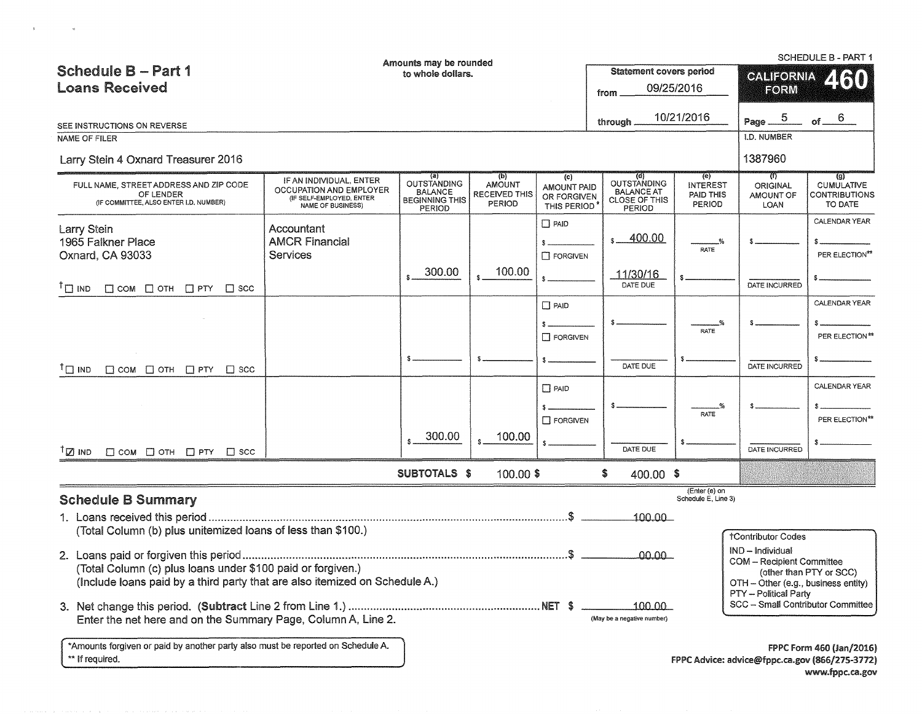|                                                                                               |                                                                                 | Amounts may be rounded                            |                                                 |                                                  |                                                     |                                        |                                      | <b>SCHEDULE B - PART 1</b>                           |
|-----------------------------------------------------------------------------------------------|---------------------------------------------------------------------------------|---------------------------------------------------|-------------------------------------------------|--------------------------------------------------|-----------------------------------------------------|----------------------------------------|--------------------------------------|------------------------------------------------------|
| <b>Schedule B - Part 1</b>                                                                    |                                                                                 | to whole dollars.                                 |                                                 |                                                  | <b>Statement covers period</b>                      |                                        | <b>CALIFORNIA</b>                    | ARO)                                                 |
| <b>Loans Received</b>                                                                         |                                                                                 |                                                   |                                                 |                                                  | from                                                | 09/25/2016                             | FORM                                 |                                                      |
|                                                                                               |                                                                                 |                                                   |                                                 |                                                  |                                                     |                                        |                                      |                                                      |
| SEE INSTRUCTIONS ON REVERSE                                                                   |                                                                                 |                                                   |                                                 |                                                  | through.                                            | 10/21/2016                             | Page $ 5$                            | of $ 6$                                              |
| <b>NAME OF FILER</b>                                                                          |                                                                                 |                                                   |                                                 |                                                  |                                                     |                                        | <b>I.D. NUMBER</b>                   |                                                      |
| Larry Stein 4 Oxnard Treasurer 2016                                                           |                                                                                 |                                                   |                                                 |                                                  |                                                     |                                        | 1387960                              |                                                      |
|                                                                                               | IF AN INDIVIDUAL, ENTER                                                         | $\left( a\right)$<br><b>OUTSTANDING</b>           | (b)                                             | (c)                                              | (d)<br><b>OUTSTANDING</b>                           | (e)                                    | क्त                                  | $\left( a\right)$                                    |
| FULL NAME, STREET ADDRESS AND ZIP CODE<br>OF LENDER<br>(IF COMMITTEE, ALSO ENTER I.D. NUMBER) | OCCUPATION AND EMPLOYER<br>(IF SELF-EMPLOYED, ENTER<br><b>NAME OF BUSINESS)</b> | <b>BALANCE</b><br><b>BEGINNING THIS</b><br>PERIOD | <b>AMOUNT</b><br><b>RECEIVED THIS</b><br>PERIOD | <b>AMOUNT PAID</b><br>OR FORGIVEN<br>THIS PERIOD | <b>BALANCE AT</b><br>CLOSE OF THIS<br><b>PERIOD</b> | <b>INTEREST</b><br>PAID THIS<br>PERIOD | <b>ORIGINAL</b><br>AMOUNT OF<br>LOAN | <b>CUMULATIVE</b><br><b>CONTRIBUTIONS</b><br>TO DATE |
| Larry Stein                                                                                   | Accountant                                                                      |                                                   |                                                 | $\Box$ PAID                                      |                                                     |                                        |                                      | CALENDAR YEAR                                        |
| 1965 Falkner Place                                                                            | <b>AMCR Financial</b>                                                           |                                                   |                                                 |                                                  | $s = 400.00$                                        |                                        |                                      |                                                      |
| Oxnard, CA 93033                                                                              | <b>Services</b>                                                                 |                                                   |                                                 | $\Box$ FORGIVEN                                  |                                                     | RATE                                   |                                      | PER ELECTION**                                       |
| $^{\dagger}$ $\square$ IND<br>$\Box$ COM $\Box$ OTH $\Box$ PTY $\Box$ SCC                     |                                                                                 | 300.00                                            | 100.00                                          |                                                  | 11/30/16<br>DATE DUE                                |                                        | DATE INCURRED                        |                                                      |
|                                                                                               |                                                                                 |                                                   |                                                 | $\Box$ PAID                                      |                                                     |                                        |                                      | CALENDAR YEAR                                        |
|                                                                                               |                                                                                 |                                                   |                                                 |                                                  |                                                     |                                        |                                      |                                                      |
|                                                                                               |                                                                                 |                                                   |                                                 | $\Box$ FORGIVEN                                  |                                                     | <b>RATE</b>                            |                                      | PER ELECTION**                                       |
|                                                                                               |                                                                                 |                                                   |                                                 |                                                  |                                                     |                                        |                                      |                                                      |
| $^{\dagger}$ ם וואו<br>$\Box$ COM $\Box$ OTH $\Box$ PTY $\Box$ SCC                            |                                                                                 |                                                   |                                                 |                                                  | DATE DUE                                            |                                        | DATE INCURRED                        |                                                      |
|                                                                                               |                                                                                 |                                                   |                                                 | $\Box$ PAID                                      |                                                     |                                        |                                      | <b>CALENDAR YEAR</b>                                 |
|                                                                                               |                                                                                 |                                                   |                                                 |                                                  |                                                     |                                        |                                      |                                                      |
|                                                                                               |                                                                                 |                                                   |                                                 | $\Box$ FORGIVEN                                  |                                                     | RATE                                   |                                      | PER ELECTION**                                       |
|                                                                                               |                                                                                 | 300.00                                            | 100.00                                          |                                                  |                                                     |                                        |                                      |                                                      |
| $\Box$ COM $\Box$ OTH $\Box$ PTY $\Box$ SCC<br>™ ⊠ <sup>⊺</sup>                               |                                                                                 |                                                   |                                                 |                                                  | DATE DUE                                            |                                        | DATE INCURRED                        |                                                      |
|                                                                                               |                                                                                 | <b>SUBTOTALS \$</b>                               | 100.00 \$                                       |                                                  | \$<br>400.00 \$                                     |                                        |                                      |                                                      |
| <b>Schedule B Summary</b>                                                                     |                                                                                 |                                                   |                                                 |                                                  |                                                     | (Enter (e) on<br>Schedule E, Line 3)   |                                      |                                                      |
|                                                                                               |                                                                                 |                                                   |                                                 |                                                  | 100.00                                              |                                        |                                      |                                                      |
| (Total Column (b) plus unitemized loans of less than \$100.)                                  |                                                                                 |                                                   |                                                 |                                                  |                                                     |                                        | <b>TContributor Codes</b>            |                                                      |
|                                                                                               |                                                                                 |                                                   |                                                 |                                                  |                                                     |                                        | IND - Individual                     |                                                      |
| (Total Column (c) plus loans under \$100 paid or forgiven.)                                   |                                                                                 |                                                   |                                                 | 00.00                                            |                                                     | <b>COM - Recipient Committee</b>       |                                      |                                                      |
| (Include loans paid by a third party that are also itemized on Schedule A.)                   |                                                                                 |                                                   |                                                 |                                                  |                                                     |                                        | OTH - Other (e.g., business entity)  | (other than PTY or SCC)                              |
|                                                                                               |                                                                                 |                                                   |                                                 |                                                  |                                                     |                                        | PTY - Political Party                |                                                      |
|                                                                                               |                                                                                 |                                                   |                                                 |                                                  | 100,00<br>(May be a negative number)                |                                        |                                      | SCC - Small Contributor Committee                    |
| Enter the net here and on the Summary Page, Column A, Line 2.                                 |                                                                                 |                                                   |                                                 |                                                  |                                                     |                                        |                                      |                                                      |
| *Amounts forgiven or paid by another party also must be reported on Schedule A.               |                                                                                 |                                                   |                                                 |                                                  |                                                     |                                        |                                      | FPPC Form 460 (Jan/2016)                             |
| ** If required.                                                                               |                                                                                 |                                                   |                                                 |                                                  |                                                     |                                        |                                      | FPPC Advice: advice@fppc.ca.gov (866/275-3772)       |

 $\mathbf{v} = \mathbf{v} \mathbf{v} + \mathbf{v} \mathbf{v} + \mathbf{v} \mathbf{v} + \mathbf{v} \mathbf{v} + \mathbf{v} \mathbf{v} + \mathbf{v} \mathbf{v} + \mathbf{v} \mathbf{v} + \mathbf{v} \mathbf{v} + \mathbf{v} \mathbf{v} + \mathbf{v} \mathbf{v} + \mathbf{v} \mathbf{v} + \mathbf{v} \mathbf{v} + \mathbf{v} \mathbf{v} + \mathbf{v} \mathbf{v} + \mathbf{v} \mathbf{v} + \mathbf{v} \mathbf{v} + \mathbf{v$ 

www.fppc.ca.gov